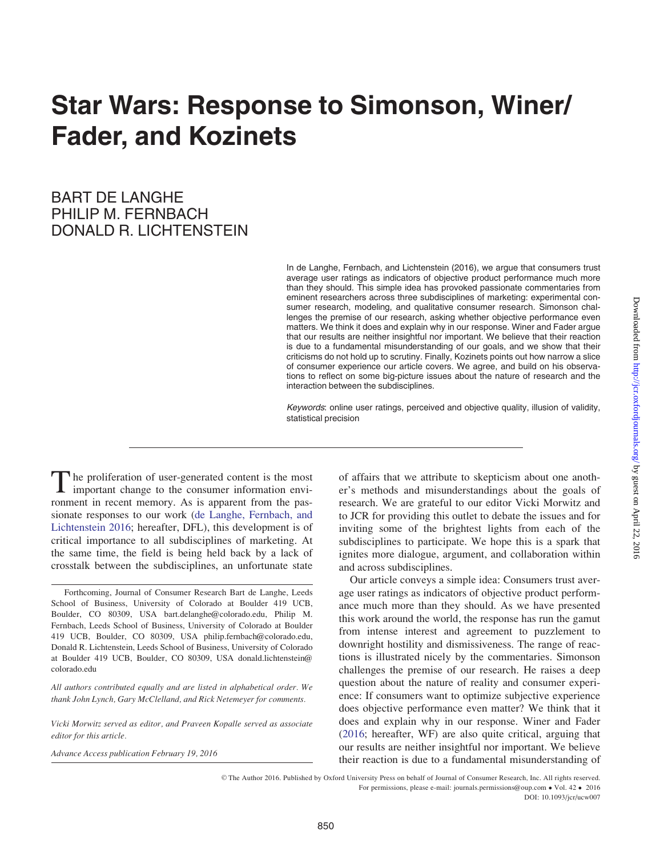# Star Wars: Response to Simonson, Winer/ Fader, and Kozinets

# BART DE LANGHE PHILIP M. FERNBACH DONALD R. LICHTENSTEIN

In de Langhe, Fernbach, and Lichtenstein (2016), we argue that consumers trust average user ratings as indicators of objective product performance much more than they should. This simple idea has provoked passionate commentaries from eminent researchers across three subdisciplines of marketing: experimental consumer research, modeling, and qualitative consumer research. Simonson challenges the premise of our research, asking whether objective performance even matters. We think it does and explain why in our response. Winer and Fader argue that our results are neither insightful nor important. We believe that their reaction is due to a fundamental misunderstanding of our goals, and we show that their criticisms do not hold up to scrutiny. Finally, Kozinets points out how narrow a slice of consumer experience our article covers. We agree, and build on his observations to reflect on some big-picture issues about the nature of research and the interaction between the subdisciplines.

Keywords: online user ratings, perceived and objective quality, illusion of validity, statistical precision

The proliferation of user-generated content is the most important change to the consumer information environment in recent memory. As is apparent from the passionate responses to our work ([de Langhe, Fernbach, and](#page-6-0) [Lichtenstein 2016;](#page-6-0) hereafter, DFL), this development is of critical importance to all subdisciplines of marketing. At the same time, the field is being held back by a lack of crosstalk between the subdisciplines, an unfortunate state

All authors contributed equally and are listed in alphabetical order. We thank John Lynch, Gary McClelland, and Rick Netemeyer for comments.

Vicki Morwitz served as editor, and Praveen Kopalle served as associate editor for this article.

Advance Access publication February 19, 2016

of affairs that we attribute to skepticism about one another's methods and misunderstandings about the goals of research. We are grateful to our editor Vicki Morwitz and to JCR for providing this outlet to debate the issues and for inviting some of the brightest lights from each of the subdisciplines to participate. We hope this is a spark that ignites more dialogue, argument, and collaboration within and across subdisciplines.

Our article conveys a simple idea: Consumers trust average user ratings as indicators of objective product performance much more than they should. As we have presented this work around the world, the response has run the gamut from intense interest and agreement to puzzlement to downright hostility and dismissiveness. The range of reactions is illustrated nicely by the commentaries. Simonson challenges the premise of our research. He raises a deep question about the nature of reality and consumer experience: If consumers want to optimize subjective experience does objective performance even matter? We think that it does and explain why in our response. Winer and Fader ([2016](#page-7-0); hereafter, WF) are also quite critical, arguing that our results are neither insightful nor important. We believe their reaction is due to a fundamental misunderstanding of

V<sup>C</sup> The Author 2016. Published by Oxford University Press on behalf of Journal of Consumer Research, Inc. All rights reserved. For permissions, please e-mail: journals.permissions@oup.com • Vol. 42 • 2016 DOI: 10.1093/jcr/ucw007

Forthcoming, Journal of Consumer Research Bart de Langhe, Leeds School of Business, University of Colorado at Boulder 419 UCB, Boulder, CO 80309, USA bart.delanghe@colorado.edu, Philip M. Fernbach, Leeds School of Business, University of Colorado at Boulder 419 UCB, Boulder, CO 80309, USA philip.fernbach@colorado.edu, Donald R. Lichtenstein, Leeds School of Business, University of Colorado at Boulder 419 UCB, Boulder, CO 80309, USA donald.lichtenstein@ colorado.edu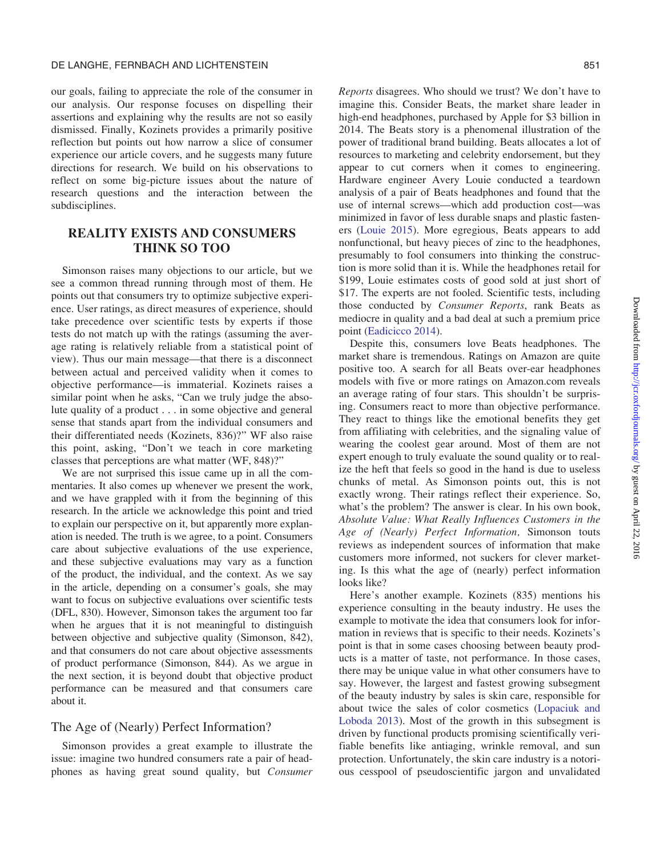our goals, failing to appreciate the role of the consumer in our analysis. Our response focuses on dispelling their assertions and explaining why the results are not so easily dismissed. Finally, Kozinets provides a primarily positive reflection but points out how narrow a slice of consumer experience our article covers, and he suggests many future directions for research. We build on his observations to reflect on some big-picture issues about the nature of research questions and the interaction between the subdisciplines.

# REALITY EXISTS AND CONSUMERS THINK SO TOO

Simonson raises many objections to our article, but we see a common thread running through most of them. He points out that consumers try to optimize subjective experience. User ratings, as direct measures of experience, should take precedence over scientific tests by experts if those tests do not match up with the ratings (assuming the average rating is relatively reliable from a statistical point of view). Thus our main message—that there is a disconnect between actual and perceived validity when it comes to objective performance—is immaterial. Kozinets raises a similar point when he asks, "Can we truly judge the absolute quality of a product . . . in some objective and general sense that stands apart from the individual consumers and their differentiated needs (Kozinets, 836)?" WF also raise this point, asking, "Don't we teach in core marketing classes that perceptions are what matter (WF, 848)?"

We are not surprised this issue came up in all the commentaries. It also comes up whenever we present the work, and we have grappled with it from the beginning of this research. In the article we acknowledge this point and tried to explain our perspective on it, but apparently more explanation is needed. The truth is we agree, to a point. Consumers care about subjective evaluations of the use experience, and these subjective evaluations may vary as a function of the product, the individual, and the context. As we say in the article, depending on a consumer's goals, she may want to focus on subjective evaluations over scientific tests (DFL, 830). However, Simonson takes the argument too far when he argues that it is not meaningful to distinguish between objective and subjective quality (Simonson, 842), and that consumers do not care about objective assessments of product performance (Simonson, 844). As we argue in the next section, it is beyond doubt that objective product performance can be measured and that consumers care about it.

#### The Age of (Nearly) Perfect Information?

Simonson provides a great example to illustrate the issue: imagine two hundred consumers rate a pair of headphones as having great sound quality, but Consumer Reports disagrees. Who should we trust? We don't have to imagine this. Consider Beats, the market share leader in high-end headphones, purchased by Apple for \$3 billion in 2014. The Beats story is a phenomenal illustration of the power of traditional brand building. Beats allocates a lot of resources to marketing and celebrity endorsement, but they appear to cut corners when it comes to engineering. Hardware engineer Avery Louie conducted a teardown analysis of a pair of Beats headphones and found that the use of internal screws—which add production cost—was minimized in favor of less durable snaps and plastic fasteners [\(Louie 2015](#page-7-0)). More egregious, Beats appears to add nonfunctional, but heavy pieces of zinc to the headphones, presumably to fool consumers into thinking the construction is more solid than it is. While the headphones retail for \$199, Louie estimates costs of good sold at just short of \$17. The experts are not fooled. Scientific tests, including those conducted by Consumer Reports, rank Beats as mediocre in quality and a bad deal at such a premium price point [\(Eadicicco 2014](#page-6-0)).

Despite this, consumers love Beats headphones. The market share is tremendous. Ratings on Amazon are quite positive too. A search for all Beats over-ear headphones models with five or more ratings on Amazon.com reveals an average rating of four stars. This shouldn't be surprising. Consumers react to more than objective performance. They react to things like the emotional benefits they get from affiliating with celebrities, and the signaling value of wearing the coolest gear around. Most of them are not expert enough to truly evaluate the sound quality or to realize the heft that feels so good in the hand is due to useless chunks of metal. As Simonson points out, this is not exactly wrong. Their ratings reflect their experience. So, what's the problem? The answer is clear. In his own book, Absolute Value: What Really Influences Customers in the Age of (Nearly) Perfect Information, Simonson touts reviews as independent sources of information that make customers more informed, not suckers for clever marketing. Is this what the age of (nearly) perfect information looks like?

Here's another example. Kozinets (835) mentions his experience consulting in the beauty industry. He uses the example to motivate the idea that consumers look for information in reviews that is specific to their needs. Kozinets's point is that in some cases choosing between beauty products is a matter of taste, not performance. In those cases, there may be unique value in what other consumers have to say. However, the largest and fastest growing subsegment of the beauty industry by sales is skin care, responsible for about twice the sales of color cosmetics [\(Lopaciuk and](#page-7-0) [Loboda 2013](#page-7-0)). Most of the growth in this subsegment is driven by functional products promising scientifically verifiable benefits like antiaging, wrinkle removal, and sun protection. Unfortunately, the skin care industry is a notorious cesspool of pseudoscientific jargon and unvalidated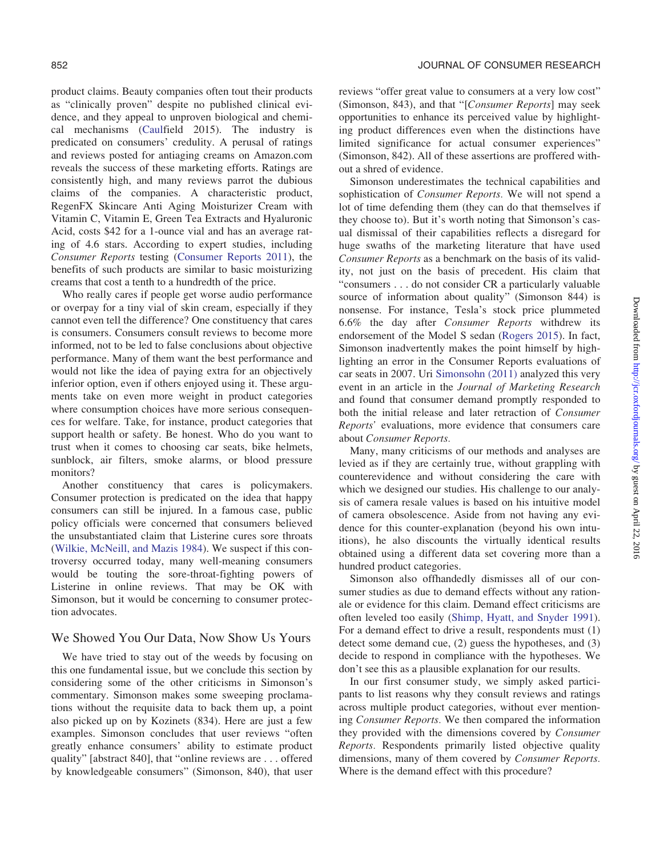product claims. Beauty companies often tout their products as "clinically proven" despite no published clinical evidence, and they appeal to unproven biological and chemical mechanisms [\(Caulfield 2015\)](#page-6-0). The industry is predicated on consumers' credulity. A perusal of ratings and reviews posted for antiaging creams on Amazon.com reveals the success of these marketing efforts. Ratings are consistently high, and many reviews parrot the dubious claims of the companies. A characteristic product, RegenFX Skincare Anti Aging Moisturizer Cream with Vitamin C, Vitamin E, Green Tea Extracts and Hyaluronic Acid, costs \$42 for a 1-ounce vial and has an average rating of 4.6 stars. According to expert studies, including Consumer Reports testing [\(Consumer Reports 2011](#page-6-0)), the benefits of such products are similar to basic moisturizing creams that cost a tenth to a hundredth of the price.

Who really cares if people get worse audio performance or overpay for a tiny vial of skin cream, especially if they cannot even tell the difference? One constituency that cares is consumers. Consumers consult reviews to become more informed, not to be led to false conclusions about objective performance. Many of them want the best performance and would not like the idea of paying extra for an objectively inferior option, even if others enjoyed using it. These arguments take on even more weight in product categories where consumption choices have more serious consequences for welfare. Take, for instance, product categories that support health or safety. Be honest. Who do you want to trust when it comes to choosing car seats, bike helmets, sunblock, air filters, smoke alarms, or blood pressure monitors?

Another constituency that cares is policymakers. Consumer protection is predicated on the idea that happy consumers can still be injured. In a famous case, public policy officials were concerned that consumers believed the unsubstantiated claim that Listerine cures sore throats [\(Wilkie, McNeill, and Mazis 1984](#page-7-0)). We suspect if this controversy occurred today, many well-meaning consumers would be touting the sore-throat-fighting powers of Listerine in online reviews. That may be OK with Simonson, but it would be concerning to consumer protection advocates.

#### We Showed You Our Data, Now Show Us Yours

We have tried to stay out of the weeds by focusing on this one fundamental issue, but we conclude this section by considering some of the other criticisms in Simonson's commentary. Simonson makes some sweeping proclamations without the requisite data to back them up, a point also picked up on by Kozinets (834). Here are just a few examples. Simonson concludes that user reviews "often greatly enhance consumers' ability to estimate product quality" [abstract 840], that "online reviews are . . . offered by knowledgeable consumers" (Simonson, 840), that user reviews "offer great value to consumers at a very low cost" (Simonson, 843), and that "[Consumer Reports] may seek opportunities to enhance its perceived value by highlighting product differences even when the distinctions have limited significance for actual consumer experiences" (Simonson, 842). All of these assertions are proffered without a shred of evidence.

Simonson underestimates the technical capabilities and sophistication of Consumer Reports. We will not spend a lot of time defending them (they can do that themselves if they choose to). But it's worth noting that Simonson's casual dismissal of their capabilities reflects a disregard for huge swaths of the marketing literature that have used Consumer Reports as a benchmark on the basis of its validity, not just on the basis of precedent. His claim that "consumers . . . do not consider CR a particularly valuable source of information about quality" (Simonson 844) is nonsense. For instance, Tesla's stock price plummeted 6.6% the day after Consumer Reports withdrew its endorsement of the Model S sedan ([Rogers 2015](#page-7-0)). In fact, Simonson inadvertently makes the point himself by highlighting an error in the Consumer Reports evaluations of car seats in 2007. Uri [Simonsohn \(2011\)](#page-7-0) analyzed this very event in an article in the Journal of Marketing Research and found that consumer demand promptly responded to both the initial release and later retraction of Consumer Reports' evaluations, more evidence that consumers care about Consumer Reports.

Many, many criticisms of our methods and analyses are levied as if they are certainly true, without grappling with counterevidence and without considering the care with which we designed our studies. His challenge to our analysis of camera resale values is based on his intuitive model of camera obsolescence. Aside from not having any evidence for this counter-explanation (beyond his own intuitions), he also discounts the virtually identical results obtained using a different data set covering more than a hundred product categories.

Simonson also offhandedly dismisses all of our consumer studies as due to demand effects without any rationale or evidence for this claim. Demand effect criticisms are often leveled too easily ([Shimp, Hyatt, and Snyder 1991\)](#page-7-0). For a demand effect to drive a result, respondents must (1) detect some demand cue, (2) guess the hypotheses, and (3) decide to respond in compliance with the hypotheses. We don't see this as a plausible explanation for our results.

In our first consumer study, we simply asked participants to list reasons why they consult reviews and ratings across multiple product categories, without ever mentioning Consumer Reports. We then compared the information they provided with the dimensions covered by Consumer Reports. Respondents primarily listed objective quality dimensions, many of them covered by Consumer Reports. Where is the demand effect with this procedure?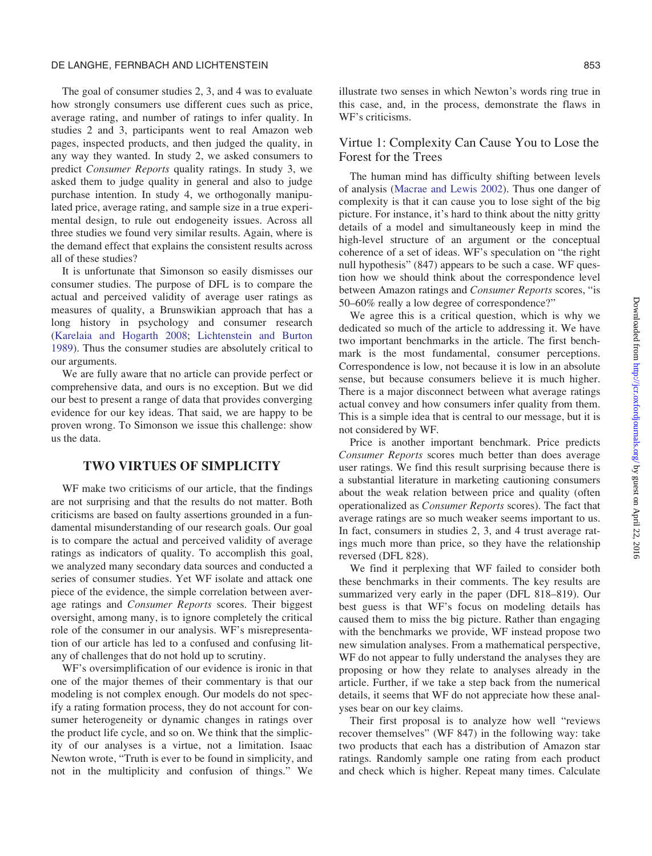#### DE LANGHE, FERNBACH AND LICHTENSTEIN 853

The goal of consumer studies 2, 3, and 4 was to evaluate how strongly consumers use different cues such as price, average rating, and number of ratings to infer quality. In studies 2 and 3, participants went to real Amazon web pages, inspected products, and then judged the quality, in any way they wanted. In study 2, we asked consumers to predict Consumer Reports quality ratings. In study 3, we asked them to judge quality in general and also to judge purchase intention. In study 4, we orthogonally manipulated price, average rating, and sample size in a true experimental design, to rule out endogeneity issues. Across all three studies we found very similar results. Again, where is the demand effect that explains the consistent results across all of these studies?

It is unfortunate that Simonson so easily dismisses our consumer studies. The purpose of DFL is to compare the actual and perceived validity of average user ratings as measures of quality, a Brunswikian approach that has a long history in psychology and consumer research [\(Karelaia and Hogarth 2008](#page-7-0); [Lichtenstein and Burton](#page-7-0) [1989\)](#page-7-0). Thus the consumer studies are absolutely critical to our arguments.

We are fully aware that no article can provide perfect or comprehensive data, and ours is no exception. But we did our best to present a range of data that provides converging evidence for our key ideas. That said, we are happy to be proven wrong. To Simonson we issue this challenge: show us the data.

### TWO VIRTUES OF SIMPLICITY

WF make two criticisms of our article, that the findings are not surprising and that the results do not matter. Both criticisms are based on faulty assertions grounded in a fundamental misunderstanding of our research goals. Our goal is to compare the actual and perceived validity of average ratings as indicators of quality. To accomplish this goal, we analyzed many secondary data sources and conducted a series of consumer studies. Yet WF isolate and attack one piece of the evidence, the simple correlation between average ratings and Consumer Reports scores. Their biggest oversight, among many, is to ignore completely the critical role of the consumer in our analysis. WF's misrepresentation of our article has led to a confused and confusing litany of challenges that do not hold up to scrutiny.

WF's oversimplification of our evidence is ironic in that one of the major themes of their commentary is that our modeling is not complex enough. Our models do not specify a rating formation process, they do not account for consumer heterogeneity or dynamic changes in ratings over the product life cycle, and so on. We think that the simplicity of our analyses is a virtue, not a limitation. Isaac Newton wrote, "Truth is ever to be found in simplicity, and not in the multiplicity and confusion of things." We

illustrate two senses in which Newton's words ring true in this case, and, in the process, demonstrate the flaws in WF's criticisms.

# Virtue 1: Complexity Can Cause You to Lose the Forest for the Trees

The human mind has difficulty shifting between levels of analysis [\(Macrae and Lewis 2002](#page-7-0)). Thus one danger of complexity is that it can cause you to lose sight of the big picture. For instance, it's hard to think about the nitty gritty details of a model and simultaneously keep in mind the high-level structure of an argument or the conceptual coherence of a set of ideas. WF's speculation on "the right null hypothesis" (847) appears to be such a case. WF question how we should think about the correspondence level between Amazon ratings and Consumer Reports scores, "is 50–60% really a low degree of correspondence?"

We agree this is a critical question, which is why we dedicated so much of the article to addressing it. We have two important benchmarks in the article. The first benchmark is the most fundamental, consumer perceptions. Correspondence is low, not because it is low in an absolute sense, but because consumers believe it is much higher. There is a major disconnect between what average ratings actual convey and how consumers infer quality from them. This is a simple idea that is central to our message, but it is not considered by WF.

Price is another important benchmark. Price predicts Consumer Reports scores much better than does average user ratings. We find this result surprising because there is a substantial literature in marketing cautioning consumers about the weak relation between price and quality (often operationalized as Consumer Reports scores). The fact that average ratings are so much weaker seems important to us. In fact, consumers in studies 2, 3, and 4 trust average ratings much more than price, so they have the relationship reversed (DFL 828).

We find it perplexing that WF failed to consider both these benchmarks in their comments. The key results are summarized very early in the paper (DFL 818–819). Our best guess is that WF's focus on modeling details has caused them to miss the big picture. Rather than engaging with the benchmarks we provide, WF instead propose two new simulation analyses. From a mathematical perspective, WF do not appear to fully understand the analyses they are proposing or how they relate to analyses already in the article. Further, if we take a step back from the numerical details, it seems that WF do not appreciate how these analyses bear on our key claims.

Their first proposal is to analyze how well "reviews recover themselves" (WF 847) in the following way: take two products that each has a distribution of Amazon star ratings. Randomly sample one rating from each product and check which is higher. Repeat many times. Calculate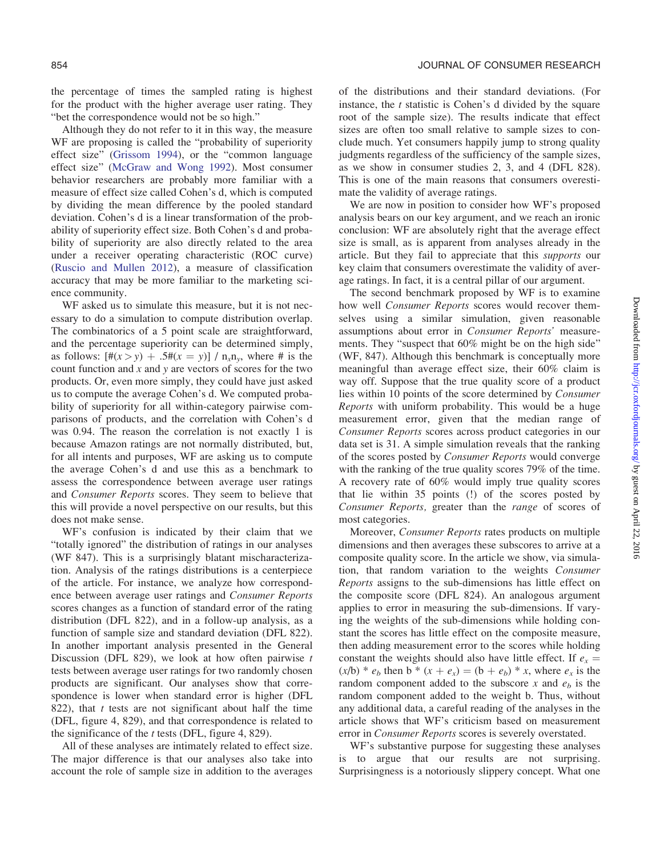the percentage of times the sampled rating is highest for the product with the higher average user rating. They "bet the correspondence would not be so high."

Although they do not refer to it in this way, the measure WF are proposing is called the "probability of superiority effect size" ([Grissom 1994\)](#page-7-0), or the "common language effect size" [\(McGraw and Wong 1992\)](#page-7-0). Most consumer behavior researchers are probably more familiar with a measure of effect size called Cohen's d, which is computed by dividing the mean difference by the pooled standard deviation. Cohen's d is a linear transformation of the probability of superiority effect size. Both Cohen's d and probability of superiority are also directly related to the area under a receiver operating characteristic (ROC curve) [\(Ruscio and Mullen 2012](#page-7-0)), a measure of classification accuracy that may be more familiar to the marketing science community.

WF asked us to simulate this measure, but it is not necessary to do a simulation to compute distribution overlap. The combinatorics of a 5 point scale are straightforward, and the percentage superiority can be determined simply, as follows:  $[\#(x > y) + .5\#(x = y)] / n_x n_y$ , where # is the count function and  $x$  and  $y$  are vectors of scores for the two products. Or, even more simply, they could have just asked us to compute the average Cohen's d. We computed probability of superiority for all within-category pairwise comparisons of products, and the correlation with Cohen's d was 0.94. The reason the correlation is not exactly 1 is because Amazon ratings are not normally distributed, but, for all intents and purposes, WF are asking us to compute the average Cohen's d and use this as a benchmark to assess the correspondence between average user ratings and Consumer Reports scores. They seem to believe that this will provide a novel perspective on our results, but this does not make sense.

WF's confusion is indicated by their claim that we "totally ignored" the distribution of ratings in our analyses (WF 847). This is a surprisingly blatant mischaracterization. Analysis of the ratings distributions is a centerpiece of the article. For instance, we analyze how correspondence between average user ratings and Consumer Reports scores changes as a function of standard error of the rating distribution (DFL 822), and in a follow-up analysis, as a function of sample size and standard deviation (DFL 822). In another important analysis presented in the General Discussion (DFL 829), we look at how often pairwise  $t$ tests between average user ratings for two randomly chosen products are significant. Our analyses show that correspondence is lower when standard error is higher (DFL 822), that  $t$  tests are not significant about half the time (DFL, figure 4, 829), and that correspondence is related to the significance of the  $t$  tests (DFL, figure 4, 829).

All of these analyses are intimately related to effect size. The major difference is that our analyses also take into account the role of sample size in addition to the averages of the distributions and their standard deviations. (For instance, the  $t$  statistic is Cohen's d divided by the square root of the sample size). The results indicate that effect sizes are often too small relative to sample sizes to conclude much. Yet consumers happily jump to strong quality judgments regardless of the sufficiency of the sample sizes, as we show in consumer studies 2, 3, and 4 (DFL 828). This is one of the main reasons that consumers overestimate the validity of average ratings.

We are now in position to consider how WF's proposed analysis bears on our key argument, and we reach an ironic conclusion: WF are absolutely right that the average effect size is small, as is apparent from analyses already in the article. But they fail to appreciate that this supports our key claim that consumers overestimate the validity of average ratings. In fact, it is a central pillar of our argument.

The second benchmark proposed by WF is to examine how well Consumer Reports scores would recover themselves using a similar simulation, given reasonable assumptions about error in Consumer Reports' measurements. They "suspect that 60% might be on the high side" (WF, 847). Although this benchmark is conceptually more meaningful than average effect size, their 60% claim is way off. Suppose that the true quality score of a product lies within 10 points of the score determined by Consumer Reports with uniform probability. This would be a huge measurement error, given that the median range of Consumer Reports scores across product categories in our data set is 31. A simple simulation reveals that the ranking of the scores posted by Consumer Reports would converge with the ranking of the true quality scores 79% of the time. A recovery rate of 60% would imply true quality scores that lie within 35 points (!) of the scores posted by Consumer Reports, greater than the range of scores of most categories.

Moreover, Consumer Reports rates products on multiple dimensions and then averages these subscores to arrive at a composite quality score. In the article we show, via simulation, that random variation to the weights Consumer Reports assigns to the sub-dimensions has little effect on the composite score (DFL 824). An analogous argument applies to error in measuring the sub-dimensions. If varying the weights of the sub-dimensions while holding constant the scores has little effect on the composite measure, then adding measurement error to the scores while holding constant the weights should also have little effect. If  $e_x =$  $(x/b) * e_b$  then b \*  $(x + e_x) = (b + e_b) * x$ , where  $e_x$  is the random component added to the subscore x and  $e<sub>b</sub>$  is the random component added to the weight b. Thus, without any additional data, a careful reading of the analyses in the article shows that WF's criticism based on measurement error in Consumer Reports scores is severely overstated.

WF's substantive purpose for suggesting these analyses is to argue that our results are not surprising. Surprisingness is a notoriously slippery concept. What one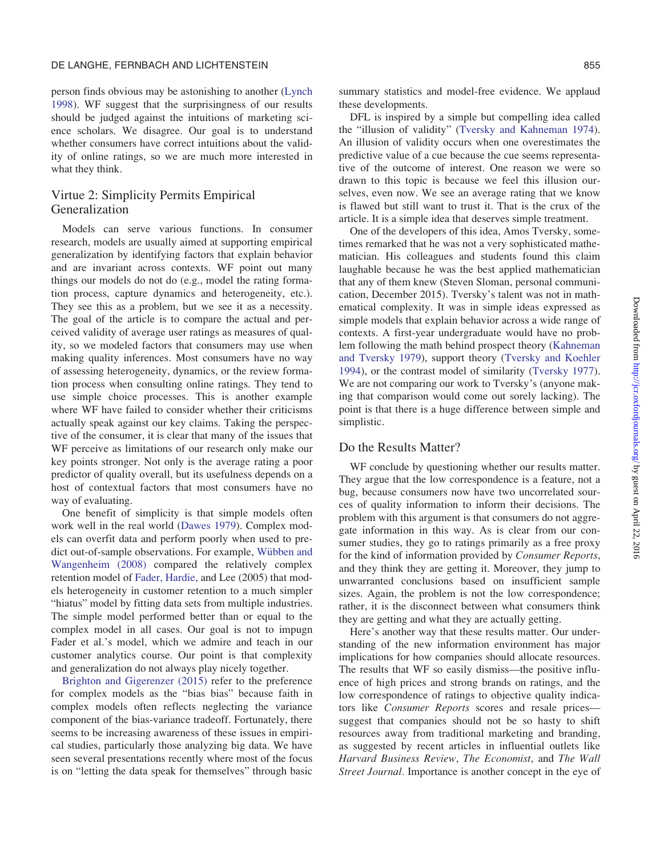person finds obvious may be astonishing to another ([Lynch](#page-7-0) [1998\)](#page-7-0). WF suggest that the surprisingness of our results should be judged against the intuitions of marketing science scholars. We disagree. Our goal is to understand whether consumers have correct intuitions about the validity of online ratings, so we are much more interested in what they think.

# Virtue 2: Simplicity Permits Empirical Generalization

Models can serve various functions. In consumer research, models are usually aimed at supporting empirical generalization by identifying factors that explain behavior and are invariant across contexts. WF point out many things our models do not do (e.g., model the rating formation process, capture dynamics and heterogeneity, etc.). They see this as a problem, but we see it as a necessity. The goal of the article is to compare the actual and perceived validity of average user ratings as measures of quality, so we modeled factors that consumers may use when making quality inferences. Most consumers have no way of assessing heterogeneity, dynamics, or the review formation process when consulting online ratings. They tend to use simple choice processes. This is another example where WF have failed to consider whether their criticisms actually speak against our key claims. Taking the perspective of the consumer, it is clear that many of the issues that WF perceive as limitations of our research only make our key points stronger. Not only is the average rating a poor predictor of quality overall, but its usefulness depends on a host of contextual factors that most consumers have no way of evaluating.

One benefit of simplicity is that simple models often work well in the real world [\(Dawes 1979\)](#page-6-0). Complex models can overfit data and perform poorly when used to pre-dict out-of-sample observations. For example, [W](#page-7-0)übben and [Wangenheim \(2008\)](#page-7-0) compared the relatively complex retention model of Fader, Hardie, [and Lee \(2005\)](#page-6-0) that models heterogeneity in customer retention to a much simpler "hiatus" model by fitting data sets from multiple industries. The simple model performed better than or equal to the complex model in all cases. Our goal is not to impugn Fader et al.'s model, which we admire and teach in our customer analytics course. Our point is that complexity and generalization do not always play nicely together.

[Brighton and Gigerenzer \(2015\)](#page-6-0) refer to the preference for complex models as the "bias bias" because faith in complex models often reflects neglecting the variance component of the bias-variance tradeoff. Fortunately, there seems to be increasing awareness of these issues in empirical studies, particularly those analyzing big data. We have seen several presentations recently where most of the focus is on "letting the data speak for themselves" through basic

summary statistics and model-free evidence. We applaud these developments.

DFL is inspired by a simple but compelling idea called the "illusion of validity" ([Tversky and Kahneman 1974\)](#page-7-0). An illusion of validity occurs when one overestimates the predictive value of a cue because the cue seems representative of the outcome of interest. One reason we were so drawn to this topic is because we feel this illusion ourselves, even now. We see an average rating that we know is flawed but still want to trust it. That is the crux of the article. It is a simple idea that deserves simple treatment.

One of the developers of this idea, Amos Tversky, sometimes remarked that he was not a very sophisticated mathematician. His colleagues and students found this claim laughable because he was the best applied mathematician that any of them knew (Steven Sloman, personal communication, December 2015). Tversky's talent was not in mathematical complexity. It was in simple ideas expressed as simple models that explain behavior across a wide range of contexts. A first-year undergraduate would have no problem following the math behind prospect theory [\(Kahneman](#page-7-0) [and Tversky 1979\)](#page-7-0), support theory [\(Tversky and Koehler](#page-7-0) [1994\)](#page-7-0), or the contrast model of similarity [\(Tversky 1977\)](#page-7-0). We are not comparing our work to Tversky's (anyone making that comparison would come out sorely lacking). The point is that there is a huge difference between simple and simplistic.

#### Do the Results Matter?

WF conclude by questioning whether our results matter. They argue that the low correspondence is a feature, not a bug, because consumers now have two uncorrelated sources of quality information to inform their decisions. The problem with this argument is that consumers do not aggregate information in this way. As is clear from our consumer studies, they go to ratings primarily as a free proxy for the kind of information provided by Consumer Reports, and they think they are getting it. Moreover, they jump to unwarranted conclusions based on insufficient sample sizes. Again, the problem is not the low correspondence; rather, it is the disconnect between what consumers think they are getting and what they are actually getting.

Here's another way that these results matter. Our understanding of the new information environment has major implications for how companies should allocate resources. The results that WF so easily dismiss—the positive influence of high prices and strong brands on ratings, and the low correspondence of ratings to objective quality indicators like Consumer Reports scores and resale prices suggest that companies should not be so hasty to shift resources away from traditional marketing and branding, as suggested by recent articles in influential outlets like Harvard Business Review, The Economist, and The Wall Street Journal. Importance is another concept in the eye of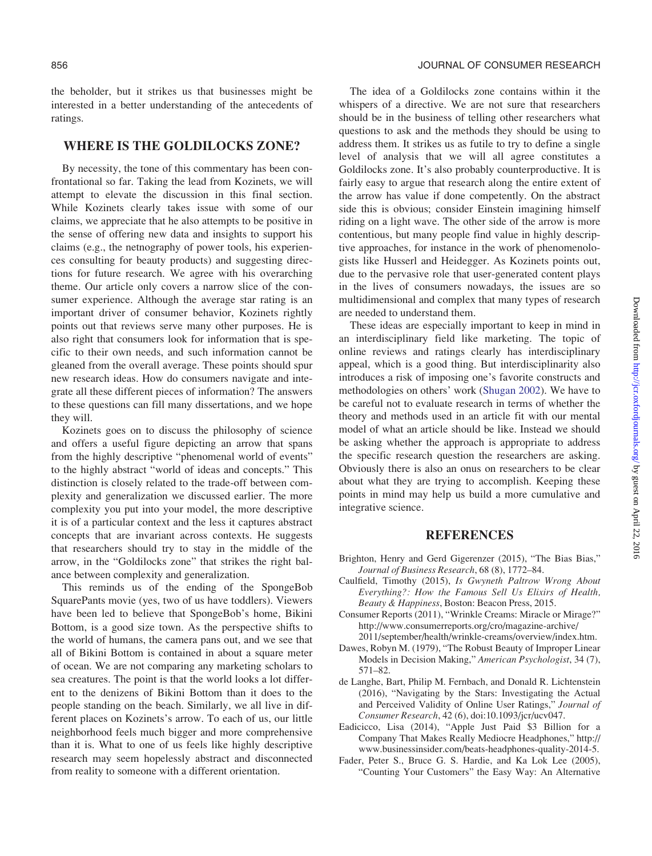<span id="page-6-0"></span>the beholder, but it strikes us that businesses might be interested in a better understanding of the antecedents of ratings.

#### WHERE IS THE GOLDILOCKS ZONE?

By necessity, the tone of this commentary has been confrontational so far. Taking the lead from Kozinets, we will attempt to elevate the discussion in this final section. While Kozinets clearly takes issue with some of our claims, we appreciate that he also attempts to be positive in the sense of offering new data and insights to support his claims (e.g., the netnography of power tools, his experiences consulting for beauty products) and suggesting directions for future research. We agree with his overarching theme. Our article only covers a narrow slice of the consumer experience. Although the average star rating is an important driver of consumer behavior, Kozinets rightly points out that reviews serve many other purposes. He is also right that consumers look for information that is specific to their own needs, and such information cannot be gleaned from the overall average. These points should spur new research ideas. How do consumers navigate and integrate all these different pieces of information? The answers to these questions can fill many dissertations, and we hope they will.

Kozinets goes on to discuss the philosophy of science and offers a useful figure depicting an arrow that spans from the highly descriptive "phenomenal world of events" to the highly abstract "world of ideas and concepts." This distinction is closely related to the trade-off between complexity and generalization we discussed earlier. The more complexity you put into your model, the more descriptive it is of a particular context and the less it captures abstract concepts that are invariant across contexts. He suggests that researchers should try to stay in the middle of the arrow, in the "Goldilocks zone" that strikes the right balance between complexity and generalization.

This reminds us of the ending of the SpongeBob SquarePants movie (yes, two of us have toddlers). Viewers have been led to believe that SpongeBob's home, Bikini Bottom, is a good size town. As the perspective shifts to the world of humans, the camera pans out, and we see that all of Bikini Bottom is contained in about a square meter of ocean. We are not comparing any marketing scholars to sea creatures. The point is that the world looks a lot different to the denizens of Bikini Bottom than it does to the people standing on the beach. Similarly, we all live in different places on Kozinets's arrow. To each of us, our little neighborhood feels much bigger and more comprehensive than it is. What to one of us feels like highly descriptive research may seem hopelessly abstract and disconnected from reality to someone with a different orientation.

The idea of a Goldilocks zone contains within it the whispers of a directive. We are not sure that researchers should be in the business of telling other researchers what questions to ask and the methods they should be using to address them. It strikes us as futile to try to define a single level of analysis that we will all agree constitutes a Goldilocks zone. It's also probably counterproductive. It is fairly easy to argue that research along the entire extent of the arrow has value if done competently. On the abstract side this is obvious; consider Einstein imagining himself riding on a light wave. The other side of the arrow is more contentious, but many people find value in highly descriptive approaches, for instance in the work of phenomenologists like Husserl and Heidegger. As Kozinets points out, due to the pervasive role that user-generated content plays in the lives of consumers nowadays, the issues are so multidimensional and complex that many types of research are needed to understand them.

These ideas are especially important to keep in mind in an interdisciplinary field like marketing. The topic of online reviews and ratings clearly has interdisciplinary appeal, which is a good thing. But interdisciplinarity also introduces a risk of imposing one's favorite constructs and methodologies on others' work [\(Shugan 2002\)](#page-7-0). We have to be careful not to evaluate research in terms of whether the theory and methods used in an article fit with our mental model of what an article should be like. Instead we should be asking whether the approach is appropriate to address the specific research question the researchers are asking. Obviously there is also an onus on researchers to be clear about what they are trying to accomplish. Keeping these points in mind may help us build a more cumulative and integrative science.

# **REFERENCES**

- Brighton, Henry and Gerd Gigerenzer (2015), "The Bias Bias," Journal of Business Research, 68 (8), 1772–84.
- Caulfield, Timothy (2015), Is Gwyneth Paltrow Wrong About Everything?: How the Famous Sell Us Elixirs of Health, Beauty & Happiness, Boston: Beacon Press, 2015.
- Consumer Reports (2011), "Wrinkle Creams: Miracle or Mirage?" [http://www.consumerreports.org/cro/magazine-archive/](http://www.consumerreports.org/cro/magazine-archive/2011/september/health/wrinkle-creams/overview/index.htm) [2011/september/health/wrinkle-creams/overview/index.htm](http://www.consumerreports.org/cro/magazine-archive/2011/september/health/wrinkle-creams/overview/index.htm).
- Dawes, Robyn M. (1979), "The Robust Beauty of Improper Linear Models in Decision Making," American Psychologist, 34 (7), 571–82.
- de Langhe, Bart, Philip M. Fernbach, and Donald R. Lichtenstein (2016), "Navigating by the Stars: Investigating the Actual and Perceived Validity of Online User Ratings," Journal of Consumer Research, 42 (6), doi:10.1093/jcr/ucv047.
- Eadicicco, Lisa (2014), "Apple Just Paid \$3 Billion for a Company That Makes Really Mediocre Headphones," [http://](http://www.businessinsider.com/beats-headphones-quality-2014-5) [www.businessinsider.com/beats-headphones-quality-2014-5](http://www.businessinsider.com/beats-headphones-quality-2014-5).
- Fader, Peter S., Bruce G. S. Hardie, and Ka Lok Lee (2005), "Counting Your Customers" the Easy Way: An Alternative